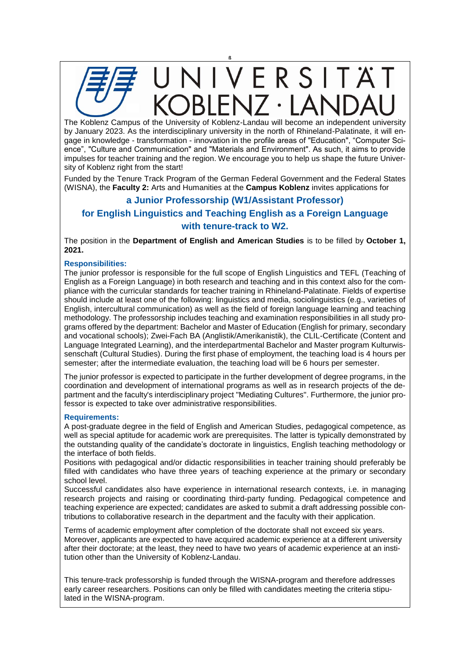

The Koblenz Campus of the University of Koblenz-Landau will become an independent university by January 2023. As the interdisciplinary university in the north of Rhineland-Palatinate, it will engage in knowledge - transformation - innovation in the profile areas of "Education", "Computer Science", "Culture and Communication" and "Materials and Environment". As such, it aims to provide impulses for teacher training and the region. We encourage you to help us shape the future University of Koblenz right from the start!

Funded by the Tenure Track Program of the German Federal Government and the Federal States (WISNA), the **Faculty 2:** Arts and Humanities at the **Campus Koblenz** invites applications for

## **a Junior Professorship (W1/Assistant Professor)**

## **for English Linguistics and Teaching English as a Foreign Language with tenure-track to W2.**

The position in the **Department of English and American Studies** is to be filled by **October 1, 2021.**

## **Responsibilities:**

The junior professor is responsible for the full scope of English Linguistics and TEFL (Teaching of English as a Foreign Language) in both research and teaching and in this context also for the compliance with the curricular standards for teacher training in Rhineland-Palatinate. Fields of expertise should include at least one of the following: linguistics and media, sociolinguistics (e.g., varieties of English, intercultural communication) as well as the field of foreign language learning and teaching methodology. The professorship includes teaching and examination responsibilities in all study programs offered by the department: Bachelor and Master of Education (English for primary, secondary and vocational schools); Zwei-Fach BA (Anglistik/Amerikanistik), the CLIL-Certificate (Content and Language Integrated Learning), and the interdepartmental Bachelor and Master program Kulturwissenschaft (Cultural Studies). During the first phase of employment, the teaching load is 4 hours per semester; after the intermediate evaluation, the teaching load will be 6 hours per semester.

The junior professor is expected to participate in the further development of degree programs, in the coordination and development of international programs as well as in research projects of the department and the faculty's interdisciplinary project "Mediating Cultures". Furthermore, the junior professor is expected to take over administrative responsibilities.

## **Requirements:**

A post-graduate degree in the field of English and American Studies, pedagogical competence, as well as special aptitude for academic work are prerequisites. The latter is typically demonstrated by the outstanding quality of the candidate's doctorate in linguistics, English teaching methodology or the interface of both fields.

Positions with pedagogical and/or didactic responsibilities in teacher training should preferably be filled with candidates who have three years of teaching experience at the primary or secondary school level.

Successful candidates also have experience in international research contexts, i.e. in managing research projects and raising or coordinating third-party funding. Pedagogical competence and teaching experience are expected; candidates are asked to submit a draft addressing possible contributions to collaborative research in the department and the faculty with their application.

Terms of academic employment after completion of the doctorate shall not exceed six years. Moreover, applicants are expected to have acquired academic experience at a different university after their doctorate; at the least, they need to have two years of academic experience at an institution other than the University of Koblenz-Landau.

This tenure-track professorship is funded through the WISNA-program and therefore addresses early career researchers. Positions can only be filled with candidates meeting the criteria stipulated in the WISNA-program.